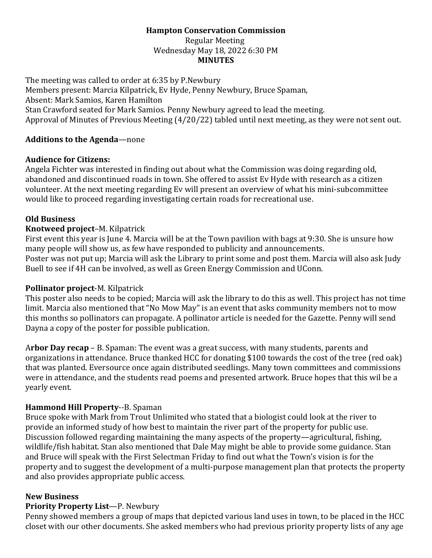# **Hampton Conservation Commission**

Regular Meeting Wednesday May 18, 2022 6:30 PM **MINUTES**

The meeting was called to order at 6:35 by P.Newbury Members present: Marcia Kilpatrick, Ev Hyde, Penny Newbury, Bruce Spaman, Absent: Mark Samios, Karen Hamilton Stan Crawford seated for Mark Samios. Penny Newbury agreed to lead the meeting. Approval of Minutes of Previous Meeting (4/20/22) tabled until next meeting, as they were not sent out.

#### **Additions to the Agenda**—none

#### **Audience for Citizens:**

Angela Fichter was interested in finding out about what the Commission was doing regarding old, abandoned and discontinued roads in town. She offered to assist Ev Hyde with research as a citizen volunteer. At the next meeting regarding Ev will present an overview of what his mini-subcommittee would like to proceed regarding investigating certain roads for recreational use.

## **Old Business**

## **Knotweed project**–M. Kilpatrick

First event this year is June 4. Marcia will be at the Town pavilion with bags at 9:30. She is unsure how many people will show us, as few have responded to publicity and announcements. Poster was not put up; Marcia will ask the Library to print some and post them. Marcia will also ask Judy Buell to see if 4H can be involved, as well as Green Energy Commission and UConn.

## **Pollinator project**-M. Kilpatrick

This poster also needs to be copied; Marcia will ask the library to do this as well. This project has not time limit. Marcia also mentioned that "No Mow May" is an event that asks community members not to mow this months so pollinators can propagate. A pollinator article is needed for the Gazette. Penny will send Dayna a copy of the poster for possible publication.

A**rbor Day recap** – B. Spaman: The event was a great success, with many students, parents and organizations in attendance. Bruce thanked HCC for donating \$100 towards the cost of the tree (red oak) that was planted. Eversource once again distributed seedlings. Many town committees and commissions were in attendance, and the students read poems and presented artwork. Bruce hopes that this wil be a yearly event.

## **Hammond Hill Property**--B. Spaman

Bruce spoke with Mark from Trout Unlimited who stated that a biologist could look at the river to provide an informed study of how best to maintain the river part of the property for public use. Discussion followed regarding maintaining the many aspects of the property—agricultural, fishing, wildlife/fish habitat. Stan also mentioned that Dale May might be able to provide some guidance. Stan and Bruce will speak with the First Selectman Friday to find out what the Town's vision is for the property and to suggest the development of a multi-purpose management plan that protects the property and also provides appropriate public access.

#### **New Business**

## **Priority Property List**—P. Newbury

Penny showed members a group of maps that depicted various land uses in town, to be placed in the HCC closet with our other documents. She asked members who had previous priority property lists of any age